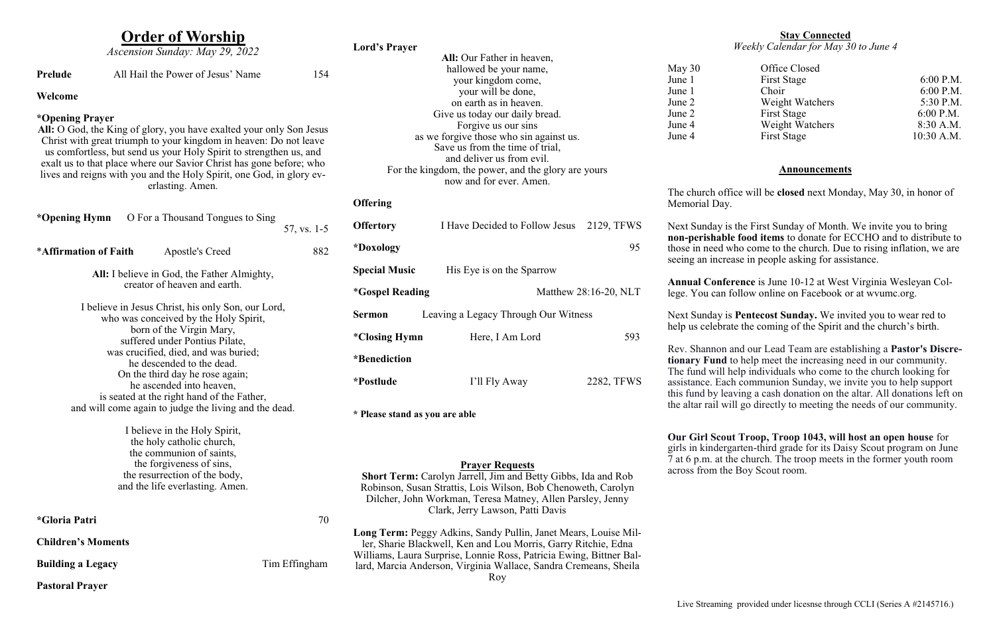# **Order of Worship**

|                                                                                                                                                                                                                                       |                                            | $21.421$ $21.721$<br>Ascension Sunday: May 29, 2022 |                                                                  | <b>Lord's Prayer</b>                                                                                                                                     |                                                                     |                       |                                         |
|---------------------------------------------------------------------------------------------------------------------------------------------------------------------------------------------------------------------------------------|--------------------------------------------|-----------------------------------------------------|------------------------------------------------------------------|----------------------------------------------------------------------------------------------------------------------------------------------------------|---------------------------------------------------------------------|-----------------------|-----------------------------------------|
|                                                                                                                                                                                                                                       |                                            |                                                     |                                                                  |                                                                                                                                                          | All: Our Father in heaven,                                          |                       |                                         |
| Prelude                                                                                                                                                                                                                               |                                            | All Hail the Power of Jesus' Name                   | 154                                                              |                                                                                                                                                          | hallowed be your name,                                              |                       | May 30                                  |
|                                                                                                                                                                                                                                       |                                            |                                                     |                                                                  |                                                                                                                                                          | your kingdom come,                                                  |                       | June 1                                  |
| Welcome                                                                                                                                                                                                                               |                                            |                                                     |                                                                  |                                                                                                                                                          | your will be done,                                                  |                       | June 1                                  |
|                                                                                                                                                                                                                                       |                                            |                                                     |                                                                  | on earth as in heaven.                                                                                                                                   |                                                                     |                       | June 2<br>June 2                        |
| *Opening Prayer                                                                                                                                                                                                                       |                                            |                                                     |                                                                  | Give us today our daily bread.<br>Forgive us our sins                                                                                                    |                                                                     |                       | June 4                                  |
| All: O God, the King of glory, you have exalted your only Son Jesus                                                                                                                                                                   |                                            |                                                     |                                                                  | as we forgive those who sin against us.                                                                                                                  |                                                                     |                       | June 4                                  |
| Christ with great triumph to your kingdom in heaven: Do not leave                                                                                                                                                                     |                                            |                                                     |                                                                  | Save us from the time of trial,                                                                                                                          |                                                                     |                       |                                         |
| us comfortless, but send us your Holy Spirit to strengthen us, and<br>exalt us to that place where our Savior Christ has gone before; who<br>lives and reigns with you and the Holy Spirit, one God, in glory ev-<br>erlasting. Amen. |                                            |                                                     |                                                                  | and deliver us from evil.<br>For the kingdom, the power, and the glory are yours<br>now and for ever. Amen.                                              |                                                                     |                       |                                         |
|                                                                                                                                                                                                                                       |                                            |                                                     |                                                                  |                                                                                                                                                          |                                                                     |                       |                                         |
|                                                                                                                                                                                                                                       |                                            |                                                     |                                                                  |                                                                                                                                                          |                                                                     |                       |                                         |
|                                                                                                                                                                                                                                       |                                            |                                                     |                                                                  |                                                                                                                                                          |                                                                     |                       | The church offi                         |
|                                                                                                                                                                                                                                       |                                            |                                                     |                                                                  | <b>Offering</b>                                                                                                                                          |                                                                     |                       | Memorial Day.                           |
| *Opening Hymn                                                                                                                                                                                                                         |                                            | O For a Thousand Tongues to Sing                    |                                                                  | <b>Offertory</b>                                                                                                                                         | I Have Decided to Follow Jesus 2129, TFWS                           |                       |                                         |
|                                                                                                                                                                                                                                       |                                            |                                                     | 57, vs. 1-5                                                      |                                                                                                                                                          |                                                                     |                       | Next Sunday is<br>non-perishable        |
| <i><b>*Affirmation of Faith</b></i>                                                                                                                                                                                                   |                                            | Apostle's Creed                                     | 882                                                              | *Doxology                                                                                                                                                |                                                                     | 95                    | those in need w                         |
|                                                                                                                                                                                                                                       |                                            |                                                     |                                                                  |                                                                                                                                                          |                                                                     |                       | seeing an increa                        |
| All: I believe in God, the Father Almighty,                                                                                                                                                                                           |                                            |                                                     |                                                                  | <b>Special Music</b>                                                                                                                                     | His Eye is on the Sparrow                                           |                       |                                         |
| creator of heaven and earth.                                                                                                                                                                                                          |                                            |                                                     |                                                                  |                                                                                                                                                          |                                                                     |                       | <b>Annual Confer</b><br>lege. You can f |
|                                                                                                                                                                                                                                       |                                            |                                                     |                                                                  | <i><b>*Gospel Reading</b></i>                                                                                                                            |                                                                     | Matthew 28:16-20, NLT |                                         |
| I believe in Jesus Christ, his only Son, our Lord,                                                                                                                                                                                    |                                            |                                                     |                                                                  |                                                                                                                                                          |                                                                     |                       | Next Sunday is                          |
| who was conceived by the Holy Spirit,                                                                                                                                                                                                 |                                            |                                                     |                                                                  | <b>Sermon</b>                                                                                                                                            | Leaving a Legacy Through Our Witness                                |                       |                                         |
|                                                                                                                                                                                                                                       | born of the Virgin Mary,                   |                                                     |                                                                  | <i>*Closing Hymn</i>                                                                                                                                     | Here, I Am Lord                                                     | 593                   | help us celebrat                        |
| suffered under Pontius Pilate,                                                                                                                                                                                                        |                                            |                                                     |                                                                  |                                                                                                                                                          |                                                                     |                       | Rev. Shannon a                          |
| was crucified, died, and was buried;                                                                                                                                                                                                  |                                            |                                                     |                                                                  | *Benediction                                                                                                                                             |                                                                     |                       | tionary Fund t                          |
| he descended to the dead.                                                                                                                                                                                                             |                                            |                                                     |                                                                  |                                                                                                                                                          |                                                                     |                       | The fund will h                         |
| On the third day he rose again;<br>he ascended into heaven,                                                                                                                                                                           |                                            |                                                     |                                                                  | *Postlude                                                                                                                                                | I'll Fly Away                                                       | 2282, TFWS            | assistance. Eacl                        |
|                                                                                                                                                                                                                                       | is seated at the right hand of the Father, |                                                     |                                                                  |                                                                                                                                                          |                                                                     |                       | this fund by lea                        |
| and will come again to judge the living and the dead.                                                                                                                                                                                 |                                            |                                                     |                                                                  |                                                                                                                                                          |                                                                     |                       | the altar rail wil                      |
|                                                                                                                                                                                                                                       |                                            |                                                     |                                                                  | * Please stand as you are able                                                                                                                           |                                                                     |                       |                                         |
|                                                                                                                                                                                                                                       |                                            | I believe in the Holy Spirit,                       |                                                                  |                                                                                                                                                          |                                                                     |                       |                                         |
| the holy catholic church,                                                                                                                                                                                                             |                                            |                                                     |                                                                  |                                                                                                                                                          |                                                                     |                       | <b>Our Girl Scout</b>                   |
|                                                                                                                                                                                                                                       |                                            | the communion of saints,                            |                                                                  |                                                                                                                                                          |                                                                     |                       | girls in kinderg                        |
| the forgiveness of sins,                                                                                                                                                                                                              |                                            |                                                     |                                                                  | <b>Prayer Requests</b><br>Short Term: Carolyn Jarrell, Jim and Betty Gibbs, Ida and Rob<br>Robinson, Susan Strattis, Lois Wilson, Bob Chenoweth, Carolyn |                                                                     |                       | 7 at 6 p.m. at th<br>across from the    |
| the resurrection of the body,                                                                                                                                                                                                         |                                            |                                                     |                                                                  |                                                                                                                                                          |                                                                     |                       |                                         |
| and the life everlasting. Amen.                                                                                                                                                                                                       |                                            |                                                     |                                                                  |                                                                                                                                                          |                                                                     |                       |                                         |
|                                                                                                                                                                                                                                       |                                            |                                                     |                                                                  |                                                                                                                                                          | Dilcher, John Workman, Teresa Matney, Allen Parsley, Jenny          |                       |                                         |
| <i><b>*Gloria Patri</b></i>                                                                                                                                                                                                           |                                            |                                                     | 70                                                               | Clark, Jerry Lawson, Patti Davis                                                                                                                         |                                                                     |                       |                                         |
|                                                                                                                                                                                                                                       |                                            |                                                     |                                                                  |                                                                                                                                                          |                                                                     |                       |                                         |
| <b>Children's Moments</b>                                                                                                                                                                                                             |                                            |                                                     |                                                                  | Long Term: Peggy Adkins, Sandy Pullin, Janet Mears, Louise Mil-<br>ler, Sharie Blackwell, Ken and Lou Morris, Garry Ritchie, Edna                        |                                                                     |                       |                                         |
|                                                                                                                                                                                                                                       |                                            |                                                     |                                                                  |                                                                                                                                                          | Williams, Laura Surprise, Lonnie Ross, Patricia Ewing, Bittner Bal- |                       |                                         |
| Tim Effingham<br><b>Building a Legacy</b>                                                                                                                                                                                             |                                            |                                                     | lard, Marcia Anderson, Virginia Wallace, Sandra Cremeans, Sheila |                                                                                                                                                          |                                                                     |                       |                                         |
|                                                                                                                                                                                                                                       |                                            |                                                     |                                                                  |                                                                                                                                                          | Roy                                                                 |                       |                                         |
| <b>Pastoral Prayer</b>                                                                                                                                                                                                                |                                            |                                                     |                                                                  |                                                                                                                                                          |                                                                     |                       |                                         |

# **Stay Connected**

*Weekly Calendar for May 30 to June 4*

May 30 Office Closed June 1 First Stage 6:00 P.M. June 1 Choir 6:00 P.M. June 2 Weight Watchers 5:30 P.M. June 2 First Stage 6:00 P.M. Frame 4 Weight Watchers 8:30 A.M. June 4 First Stage 10:30 A.M.

### **Announcements**

The church office will be **closed** next Monday, May 30, in honor of

Next Sunday is the First Sunday of Month. We invite you to bring **non-perishable food items** to donate for ECCHO and to distribute to those in need who come to the church. Due to rising inflation, we are seeing an increase in people asking for assistance.

**Annual Conference** is June 10-12 at West Virginia Wesleyan College. You can follow online on Facebook or at wvumc.org.

Next Sunday is **Pentecost Sunday.** We invited you to wear red to help us celebrate the coming of the Spirit and the church's birth.

Rev. Shannon and our Lead Team are establishing a **Pastor's Discretionary Fund** to help meet the increasing need in our community. The fund will help individuals who come to the church looking for assistance. Each communion Sunday, we invite you to help support this fund by leaving a cash donation on the altar. All donations left on the altar rail will go directly to meeting the needs of our community.

**Our Girl Scout Troop, Troop 1043, will host an open house** for girls in kindergarten-third grade for its Daisy Scout program on June 7 at 6 p.m. at the church. The troop meets in the former youth room across from the Boy Scout room.